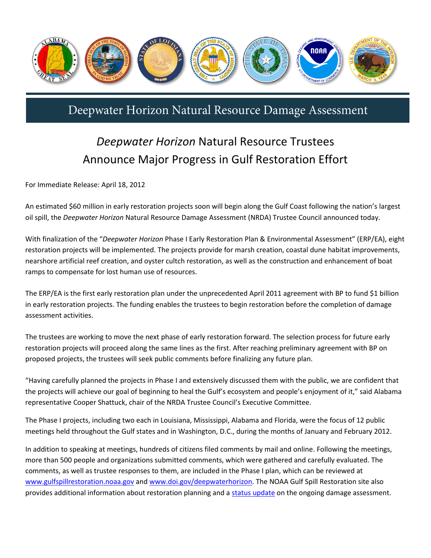

## Deepwater Horizon Natural Resource Damage Assessment

## *Deepwater Horizon* Natural Resource Trustees Announce Major Progress in Gulf Restoration Effort

For Immediate Release: April 18, 2012

An estimated \$60 million in early restoration projects soon will begin along the Gulf Coast following the nation's largest oil spill, the *Deepwater Horizon* Natural Resource Damage Assessment (NRDA) Trustee Council announced today.

With finalization of the "*Deepwater Horizon* Phase I Early Restoration Plan & Environmental Assessment" (ERP/EA), eight restoration projects will be implemented. The projects provide for marsh creation, coastal dune habitat improvements, nearshore artificial reef creation, and oyster cultch restoration, as well as the construction and enhancement of boat ramps to compensate for lost human use of resources.

The ERP/EA is the first early restoration plan under the unprecedented April 2011 agreement with BP to fund \$1 billion in early restoration projects. The funding enables the trustees to begin restoration before the completion of damage assessment activities.

The trustees are working to move the next phase of early restoration forward. The selection process for future early restoration projects will proceed along the same lines as the first. After reaching preliminary agreement with BP on proposed projects, the trustees will seek public comments before finalizing any future plan.

"Having carefully planned the projects in Phase I and extensively discussed them with the public, we are confident that the projects will achieve our goal of beginning to heal the Gulf's ecosystem and people's enjoyment of it," said Alabama representative Cooper Shattuck, chair of the NRDA Trustee Council's Executive Committee.

The Phase I projects, including two each in Louisiana, Mississippi, Alabama and Florida, were the focus of 12 public meetings held throughout the Gulf states and in Washington, D.C., during the months of January and February 2012.

In addition to speaking at meetings, hundreds of citizens filed comments by mail and online. Following the meetings, more than 500 people and organizations submitted comments, which were gathered and carefully evaluated. The comments, as well as trustee responses to them, are included in the Phase I plan, which can be reviewed at [www.gulfspillrestoration.noaa.gov](http://www.gulfspillrestoration.noaa.gov/) and [www.doi.gov/deepwaterhorizon.](http://www.doi.gov/deepwaterhorizon) The NOAA Gulf Spill Restoration site also provides additional information about restoration planning and a [status update](http://www.gulfspillrestoration.noaa.gov/wp-content/uploads/FINAL_NRDA_StatusUpdate_April2012.pdf) on the ongoing damage assessment.